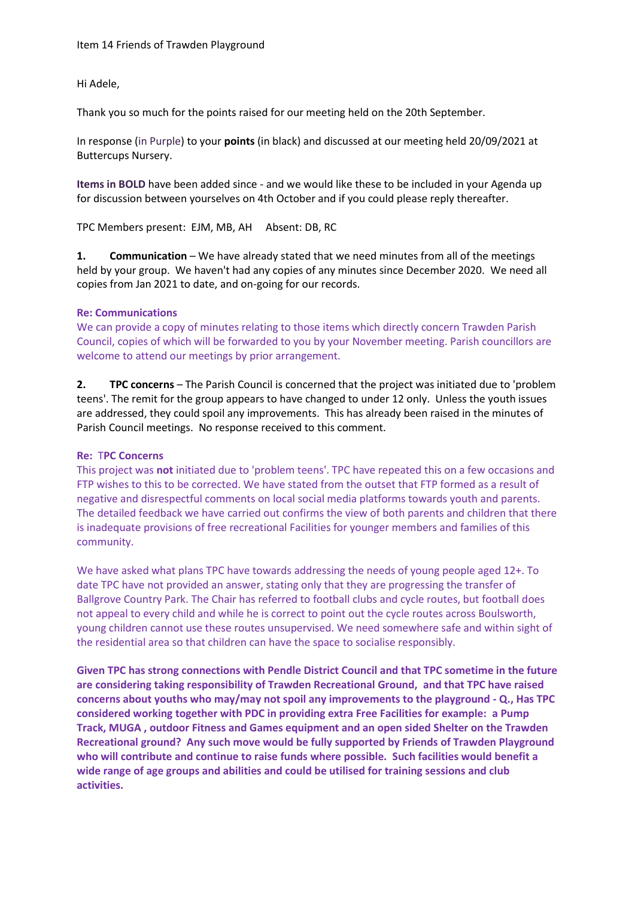Hi Adele,

Thank you so much for the points raised for our meeting held on the 20th September.

In response (in Purple) to your **points** (in black) and discussed at our meeting held 20/09/2021 at Buttercups Nursery.

**Items in BOLD** have been added since - and we would like these to be included in your Agenda up for discussion between yourselves on 4th October and if you could please reply thereafter.

TPC Members present: EJM, MB, AH Absent: DB, RC

**1. Communication** – We have already stated that we need minutes from all of the meetings held by your group. We haven't had any copies of any minutes since December 2020. We need all copies from Jan 2021 to date, and on-going for our records.

#### **Re: Communications**

We can provide a copy of minutes relating to those items which directly concern Trawden Parish Council, copies of which will be forwarded to you by your November meeting. Parish councillors are welcome to attend our meetings by prior arrangement.

**2. TPC concerns** – The Parish Council is concerned that the project was initiated due to 'problem teens'. The remit for the group appears to have changed to under 12 only. Unless the youth issues are addressed, they could spoil any improvements. This has already been raised in the minutes of Parish Council meetings. No response received to this comment.

## **Re:** T**PC Concerns**

This project was **not** initiated due to 'problem teens'. TPC have repeated this on a few occasions and FTP wishes to this to be corrected. We have stated from the outset that FTP formed as a result of negative and disrespectful comments on local social media platforms towards youth and parents. The detailed feedback we have carried out confirms the view of both parents and children that there is inadequate provisions of free recreational Facilities for younger members and families of this community.

We have asked what plans TPC have towards addressing the needs of young people aged 12+. To date TPC have not provided an answer, stating only that they are progressing the transfer of Ballgrove Country Park. The Chair has referred to football clubs and cycle routes, but football does not appeal to every child and while he is correct to point out the cycle routes across Boulsworth, young children cannot use these routes unsupervised. We need somewhere safe and within sight of the residential area so that children can have the space to socialise responsibly.

**Given TPC has strong connections with Pendle District Council and that TPC sometime in the future are considering taking responsibility of Trawden Recreational Ground, and that TPC have raised concerns about youths who may/may not spoil any improvements to the playground - Q., Has TPC considered working together with PDC in providing extra Free Facilities for example: a Pump Track, MUGA , outdoor Fitness and Games equipment and an open sided Shelter on the Trawden Recreational ground? Any such move would be fully supported by Friends of Trawden Playground who will contribute and continue to raise funds where possible. Such facilities would benefit a wide range of age groups and abilities and could be utilised for training sessions and club activities.**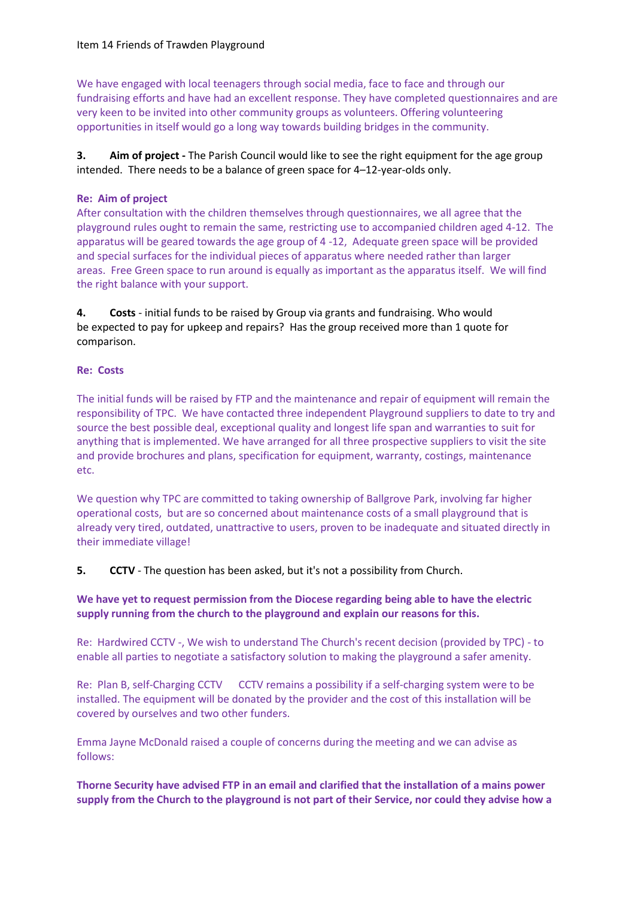We have engaged with local teenagers through social media, face to face and through our fundraising efforts and have had an excellent response. They have completed questionnaires and are very keen to be invited into other community groups as volunteers. Offering volunteering opportunities in itself would go a long way towards building bridges in the community.

**3. Aim of project -** The Parish Council would like to see the right equipment for the age group intended. There needs to be a balance of green space for 4–12-year-olds only.

## **Re: Aim of project**

After consultation with the children themselves through questionnaires, we all agree that the playground rules ought to remain the same, restricting use to accompanied children aged 4-12. The apparatus will be geared towards the age group of 4 -12, Adequate green space will be provided and special surfaces for the individual pieces of apparatus where needed rather than larger areas. Free Green space to run around is equally as important as the apparatus itself. We will find the right balance with your support.

**4. Costs** - initial funds to be raised by Group via grants and fundraising. Who would be expected to pay for upkeep and repairs? Has the group received more than 1 quote for comparison.

## **Re: Costs**

The initial funds will be raised by FTP and the maintenance and repair of equipment will remain the responsibility of TPC. We have contacted three independent Playground suppliers to date to try and source the best possible deal, exceptional quality and longest life span and warranties to suit for anything that is implemented. We have arranged for all three prospective suppliers to visit the site and provide brochures and plans, specification for equipment, warranty, costings, maintenance etc.

We question why TPC are committed to taking ownership of Ballgrove Park, involving far higher operational costs, but are so concerned about maintenance costs of a small playground that is already very tired, outdated, unattractive to users, proven to be inadequate and situated directly in their immediate village!

**5.** CCTV - The question has been asked, but it's not a possibility from Church.

# **We have yet to request permission from the Diocese regarding being able to have the electric supply running from the church to the playground and explain our reasons for this.**

Re: Hardwired CCTV -, We wish to understand The Church's recent decision (provided by TPC) - to enable all parties to negotiate a satisfactory solution to making the playground a safer amenity.

Re: Plan B, self-Charging CCTV CCTV remains a possibility if a self-charging system were to be installed. The equipment will be donated by the provider and the cost of this installation will be covered by ourselves and two other funders.

Emma Jayne McDonald raised a couple of concerns during the meeting and we can advise as follows:

# **Thorne Security have advised FTP in an email and clarified that the installation of a mains power supply from the Church to the playground is not part of their Service, nor could they advise how a**